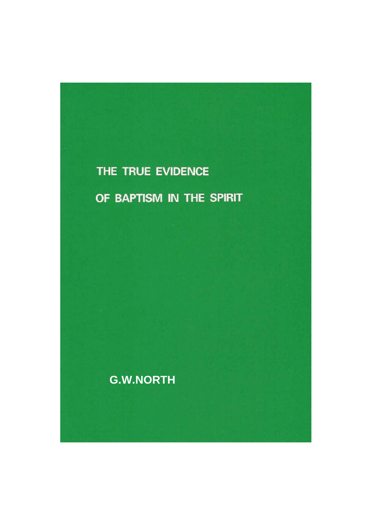# THE TRUE EVIDENCE

OF BAPTISM IN THE SPIRIT

**G.W.NORTH**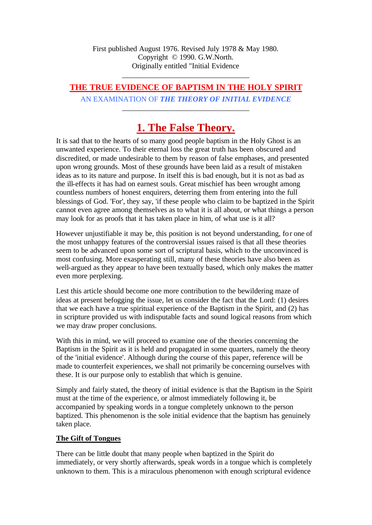First published August 1976. Revised July 1978 & May 1980. Copyright © 1990. G.W.North. Originally entitled "Initial Evidence

# **THE TRUE EVIDENCE OF BAPTISM IN THE HOLY SPIRIT**

\_\_\_\_\_\_\_\_\_\_\_\_\_\_\_\_\_\_\_\_\_\_\_\_\_\_\_\_\_\_\_\_\_\_

AN EXAMINATION OF *THE THEORY OF INITIAL EVIDENCE* \_\_\_\_\_\_\_\_\_\_\_\_\_\_\_\_\_\_\_\_\_\_\_\_\_\_\_\_\_\_\_\_\_\_

# **1. The False Theory.**

It is sad that to the hearts of so many good people baptism in the Holy Ghost is an unwanted experience. To their eternal loss the great truth has been obscured and discredited, or made undesirable to them by reason of false emphases, and presented upon wrong grounds. Most of these grounds have been laid as a result of mistaken ideas as to its nature and purpose. In itself this is bad enough, but it is not as bad as the ill-effects it has had on earnest souls. Great mischief has been wrought among countless numbers of honest enquirers, deterring them from entering into the full blessings of God. 'For', they say, 'if these people who claim to be baptized in the Spirit cannot even agree among themselves as to what it is all about, or what things a person may look for as proofs that it has taken place in him, of what use is it all?

However unjustifiable it may be, this position is not beyond understanding, for one of the most unhappy features of the controversial issues raised is that all these theories seem to be advanced upon some sort of scriptural basis, which to the unconvinced is most confusing. More exasperating still, many of these theories have also been as well-argued as they appear to have been textually based, which only makes the matter even more perplexing.

Lest this article should become one more contribution to the bewildering maze of ideas at present befogging the issue, let us consider the fact that the Lord: (1) desires that we each have a true spiritual experience of the Baptism in the Spirit, and (2) has in scripture provided us with indisputable facts and sound logical reasons from which we may draw proper conclusions.

With this in mind, we will proceed to examine one of the theories concerning the Baptism in the Spirit as it is held and propagated in some quarters, namely the theory of the 'initial evidence'. Although during the course of this paper, reference will be made to counterfeit experiences, we shall not primarily be concerning ourselves with these. It is our purpose only to establish that which is genuine.

Simply and fairly stated, the theory of initial evidence is that the Baptism in the Spirit must at the time of the experience, or almost immediately following it, be accompanied by speaking words in a tongue completely unknown to the person baptized. This phenomenon is the sole initial evidence that the baptism has genuinely taken place.

#### **The Gift of Tongues**

There can be little doubt that many people when baptized in the Spirit do immediately, or very shortly afterwards, speak words in a tongue which is completely unknown to them. This is a miraculous phenomenon with enough scriptural evidence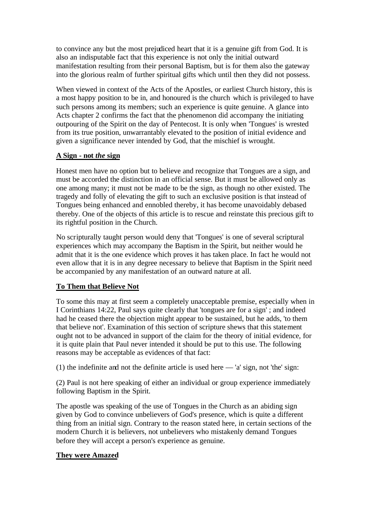to convince any but the most prejudiced heart that it is a genuine gift from God. It is also an indisputable fact that this experience is not only the initial outward manifestation resulting from their personal Baptism, but is for them also the gateway into the glorious realm of further spiritual gifts which until then they did not possess.

When viewed in context of the Acts of the Apostles, or earliest Church history, this is a most happy position to be in, and honoured is the church which is privileged to have such persons among its members; such an experience is quite genuine. A glance into Acts chapter 2 confirms the fact that the phenomenon did accompany the initiating outpouring of the Spirit on the day of Pentecost. It is only when 'Tongues' is wrested from its true position, unwarrantably elevated to the position of initial evidence and given a significance never intended by God, that the mischief is wrought.

#### **A Sign - not** *the* **sign**

Honest men have no option but to believe and recognize that Tongues are a sign, and must be accorded the distinction in an official sense. But it must be allowed only as one among many; it must not be made to be the sign, as though no other existed. The tragedy and folly of elevating the gift to such an exclusive position is that instead of Tongues being enhanced and ennobled thereby, it has become unavoidably debased thereby. One of the objects of this article is to rescue and reinstate this precious gift to its rightful position in the Church.

No scripturally taught person would deny that 'Tongues' is one of several scriptural experiences which may accompany the Baptism in the Spirit, but neither would he admit that it is the one evidence which proves it has taken place. In fact he would not even allow that it is in any degree necessary to believe that Baptism in the Spirit need be accompanied by any manifestation of an outward nature at all.

#### **To Them that Believe Not**

To some this may at first seem a completely unacceptable premise, especially when in I Corinthians 14:22, Paul says quite clearly that 'tongues are for a sign' ; and indeed had he ceased there the objection might appear to be sustained, but he adds, 'to them that believe not'. Examination of this section of scripture shews that this statement ought not to be advanced in support of the claim for the theory of initial evidence, for it is quite plain that Paul never intended it should be put to this use. The following reasons may be acceptable as evidences of that fact:

(1) the indefinite and not the definite article is used here — 'a' sign, not 'the' sign:

(2) Paul is not here speaking of either an individual or group experience immediately following Baptism in the Spirit.

The apostle was speaking of the use of Tongues in the Church as an abiding sign given by God to convince unbelievers of God's presence, which is quite a different thing from an initial sign. Contrary to the reason stated here, in certain sections of the modern Church it is believers, not unbelievers who mistakenly demand Tongues before they will accept a person's experience as genuine.

#### **They were Amazed**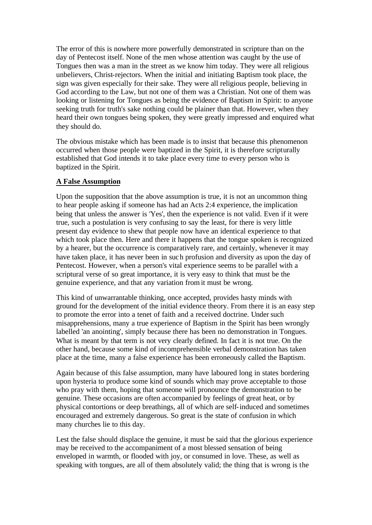The error of this is nowhere more powerfully demonstrated in scripture than on the day of Pentecost itself. None of the men whose attention was caught by the use of Tongues then was a man in the street as we know him today. They were all religious unbelievers, Christ-rejectors. When the initial and initiating Baptism took place, the sign was given especially for their sake. They were all religious people, believing in God according to the Law, but not one of them was a Christian. Not one of them was looking or listening for Tongues as being the evidence of Baptism in Spirit: to anyone seeking truth for truth's sake nothing could be plainer than that. However, when they heard their own tongues being spoken, they were greatly impressed and enquired what they should do.

The obvious mistake which has been made is to insist that because this phenomenon occurred when those people were baptized in the Spirit, it is therefore scripturally established that God intends it to take place every time to every person who is baptized in the Spirit.

#### **A False Assumption**

Upon the supposition that the above assumption is true, it is not an uncommon thing to hear people asking if someone has had an Acts 2:4 experience, the implication being that unless the answer is 'Yes', then the experience is not valid. Even if it were true, such a postulation is very confusing to say the least, for there is very little present day evidence to shew that people now have an identical experience to that which took place then. Here and there it happens that the tongue spoken is recognized by a hearer, but the occurrence is comparatively rare, and certainly, whenever it may have taken place, it has never been in such profusion and diversity as upon the day of Pentecost. However, when a person's vital experience seems to be parallel with a scriptural verse of so great importance, it is very easy to think that must be the genuine experience, and that any variation from it must be wrong.

This kind of unwarrantable thinking, once accepted, provides hasty minds with ground for the development of the initial evidence theory. From there it is an easy step to promote the error into a tenet of faith and a received doctrine. Under such misapprehensions, many a true experience of Baptism in the Spirit has been wrongly labelled 'an anointing', simply because there has been no demonstration in Tongues. What is meant by that term is not very clearly defined. In fact it is not true. On the other hand, because some kind of incomprehensible verbal demonstration has taken place at the time, many a false experience has been erroneously called the Baptism.

Again because of this false assumption, many have laboured long in states bordering upon hysteria to produce some kind of sounds which may prove acceptable to those who pray with them, hoping that someone will pronounce the demonstration to be genuine. These occasions are often accompanied by feelings of great heat, or by physical contortions or deep breathings, all of which are self-induced and sometimes encouraged and extremely dangerous. So great is the state of confusion in which many churches lie to this day.

Lest the false should displace the genuine, it must be said that the glorious experience may be received to the accompaniment of a most blessed sensation of being enveloped in warmth, or flooded with joy, or consumed in love. These, as well as speaking with tongues, are all of them absolutely valid; the thing that is wrong is the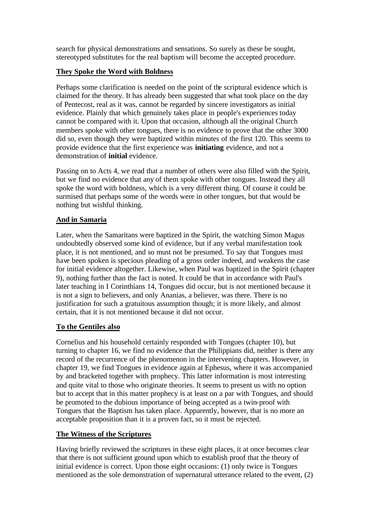search for physical demonstrations and sensations. So surely as these be sought, stereotyped substitutes for the real baptism will become the accepted procedure.

# **They Spoke the Word with Boldness**

Perhaps some clarification is needed on the point of the scriptural evidence which is claimed for the theory. It has already been suggested that what took place on the day of Pentecost, real as it was, cannot be regarded by sincere investigators as initial evidence. Plainly that which genuinely takes place in people's experiences today cannot be compared with it. Upon that occasion, although all the original Church members spoke with other tongues, there is no evidence to prove that the other 3000 did so, even though they were baptized within minutes of the first 120. This seems to provide evidence that the first experience was **initiating** evidence, and not a demonstration of **initial** evidence.

Passing on to Acts 4, we read that a number of others were also filled with the Spirit, but we find no evidence that any of them spoke with other tongues. Instead they all spoke the word with boldness, which is a very different thing. Of course it could be surmised that perhaps some of the words were in other tongues, but that would be nothing but wishful thinking.

# **And in Samaria**

Later, when the Samaritans were baptized in the Spirit, the watching Simon Magus undoubtedly observed some kind of evidence, but if any verbal manifestation took place, it is not mentioned, and so must not be presumed. To say that Tongues must have been spoken is specious pleading of a gross order indeed, and weakens the case for initial evidence altogether. Likewise, when Paul was baptized in the Spirit (chapter 9), nothing further than the fact is noted. It could be that in accordance with Paul's later teaching in I Corinthians 14, Tongues did occur, but is not mentioned because it is not a sign to believers, and only Ananias, a believer, was there. There is no justification for such a gratuitous assumption though; it is more likely, and almost certain, that it is not mentioned because it did not occur.

#### **To the Gentiles also**

Cornelius and his household certainly responded with Tongues (chapter 10), but turning to chapter 16, we find no evidence that the Philippians did, neither is there any record of the recurrence of the phenomenon in the intervening chapters. However, in chapter 19, we find Tongues in evidence again at Ephesus, where it was accompanied by and bracketed together with prophecy. This latter information is most interesting and quite vital to those who originate theories. It seems to present us with no option but to accept that in this matter prophecy is at least on a par with Tongues, and should be promoted to the dubious importance of being accepted as a twin-proof with Tongues that the Baptism has taken place. Apparently, however, that is no more an acceptable proposition than it is a proven fact, so it must be rejected.

# **The Witness of the Scriptures**

Having briefly reviewed the scriptures in these eight places, it at once becomes clear that there is not sufficient ground upon which to establish proof that the theory of initial evidence is correct. Upon those eight occasions: (1) only twice is Tongues mentioned as the sole demonstration of supernatural utterance related to the event, (2)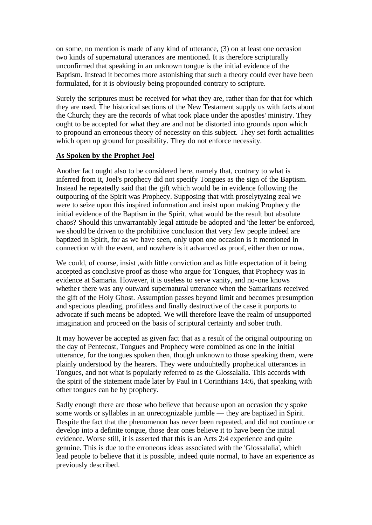on some, no mention is made of any kind of utterance, (3) on at least one occasion two kinds of supernatural utterances are mentioned. It is therefore scripturally unconfirmed that speaking in an unknown tongue is the initial evidence of the Baptism. Instead it becomes more astonishing that such a theory could ever have been formulated, for it is obviously being propounded contrary to scripture.

Surely the scriptures must be received for what they are, rather than for that for which they are used. The historical sections of the New Testament supply us with facts about the Church; they are the records of what took place under the apostles' ministry. They ought to be accepted for what they are and not be distorted into grounds upon which to propound an erroneous theory of necessity on this subject. They set forth actualities which open up ground for possibility. They do not enforce necessity.

#### **As Spoken by the Prophet Joel**

Another fact ought also to be considered here, namely that, contrary to what is inferred from it, Joel's prophecy did not specify Tongues as the sign of the Baptism. Instead he repeatedly said that the gift which would be in evidence following the outpouring of the Spirit was Prophecy. Supposing that with proselytyzing zeal we were to seize upon this inspired information and insist upon making Prophecy the initial evidence of the Baptism in the Spirit, what would be the result but absolute chaos? Should this unwarrantably legal attitude be adopted and 'the letter' be enforced, we should be driven to the prohibitive conclusion that very few people indeed are baptized in Spirit, for as we have seen, only upon one occasion is it mentioned in connection with the event, and nowhere is it advanced as proof, either then or now.

We could, of course, insist ,with little conviction and as little expectation of it being accepted as conclusive proof as those who argue for Tongues, that Prophecy was in evidence at Samaria. However, it is useless to serve vanity, and no-one knows whether there was any outward supernatural utterance when the Samaritans received the gift of the Holy Ghost. Assumption passes beyond limit and becomes presumption and specious pleading, profitless and finally destructive of the case it purports to advocate if such means be adopted. We will therefore leave the realm of unsupported imagination and proceed on the basis of scriptural certainty and sober truth.

It may however be accepted as given fact that as a result of the original outpouring on the day of Pentecost, Tongues and Prophecy were combined as one in the initial utterance, for the tongues spoken then, though unknown to those speaking them, were plainly understood by the hearers. They were undouhtedly prophetical utterances in Tongues, and not what is popularly referred to as the Glossalalia. This accords with the spirit of the statement made later by Paul in I Corinthians 14:6, that speaking with other tongues can be by prophecy.

Sadly enough there are those who believe that because upon an occasion they spoke some words or syllables in an unrecognizable jumble — they are baptized in Spirit. Despite the fact that the phenomenon has never been repeated, and did not continue or develop into a definite tongue, those dear ones believe it to have been the initial evidence. Worse still, it is asserted that this is an Acts 2:4 experience and quite genuine. This is due to the erroneous ideas associated with the 'Glossalalia', which lead people to believe that it is possible, indeed quite normal, to have an experience as previously described.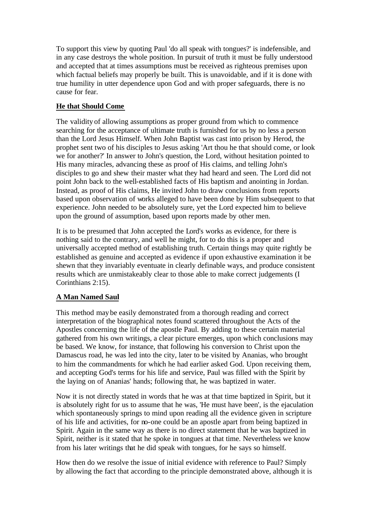To support this view by quoting Paul 'do all speak with tongues?' is indefensible, and in any case destroys the whole position. In pursuit of truth it must be fully understood and accepted that at times assumptions must be received as righteous premises upon which factual beliefs may properly be built. This is unavoidable, and if it is done with true humility in utter dependence upon God and with proper safeguards, there is no cause for fear.

# **He that Should Come**

The validity of allowing assumptions as proper ground from which to commence searching for the acceptance of ultimate truth is furnished for us by no less a person than the Lord Jesus Himself. When John Baptist was cast into prison by Herod, the prophet sent two of his disciples to Jesus asking 'Art thou he that should come, or look we for another?' In answer to John's question, the Lord, without hesitation pointed to His many miracles, advancing these as proof of His claims, and telling John's disciples to go and shew their master what they had heard and seen. The Lord did not point John back to the well-established facts of His baptism and anointing in Jordan. Instead, as proof of His claims, He invited John to draw conclusions from reports based upon observation of works alleged to have been done by Him subsequent to that experience. John needed to be absolutely sure, yet the Lord expected him to believe upon the ground of assumption, based upon reports made by other men.

It is to be presumed that John accepted the Lord's works as evidence, for there is nothing said to the contrary, and well he might, for to do this is a proper and universally accepted method of establishing truth. Certain things may quite rightly be established as genuine and accepted as evidence if upon exhaustive examination it be shewn that they invariably eventuate in clearly definable ways, and produce consistent results which are unmistakeably clear to those able to make correct judgements (I Corinthians 2:15).

# **A Man Named Saul**

This method may be easily demonstrated from a thorough reading and correct interpretation of the biographical notes found scattered throughout the Acts of the Apostles concerning the life of the apostle Paul. By adding to these certain material gathered from his own writings, a clear picture emerges, upon which conclusions may be based. We know, for instance, that following his conversion to Christ upon the Damascus road, he was led into the city, later to be visited by Ananias, who brought to him the commandments for which he had earlier asked God. Upon receiving them, and accepting God's terms for his life and service, Paul was filled with the Spirit by the laying on of Ananias' hands; following that, he was baptized in water.

Now it is not directly stated in words that he was at that time baptized in Spirit, but it is absolutely right for us to assume that he was, 'He must have been', is the ejaculation which spontaneously springs to mind upon reading all the evidence given in scripture of his life and activities, for no-one could be an apostle apart from being baptized in Spirit. Again in the same way as there is no direct statement that he was baptized in Spirit, neither is it stated that he spoke in tongues at that time. Nevertheless we know from his later writings that he did speak with tongues, for he says so himself.

How then do we resolve the issue of initial evidence with reference to Paul? Simply by allowing the fact that according to the principle demonstrated above, although it is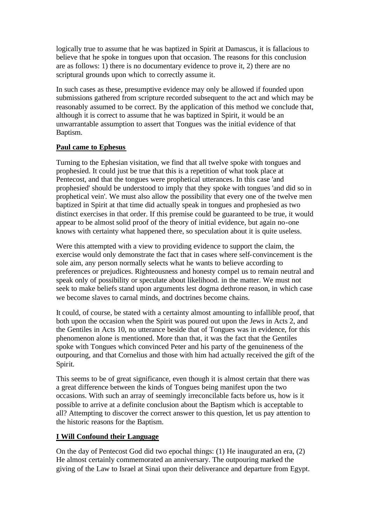logically true to assume that he was baptized in Spirit at Damascus, it is fallacious to believe that he spoke in tongues upon that occasion. The reasons for this conclusion are as follows: 1) there is no documentary evidence to prove it, 2) there are no scriptural grounds upon which to correctly assume it.

In such cases as these, presumptive evidence may only be allowed if founded upon submissions gathered from scripture recorded subsequent to the act and which may be reasonably assumed to be correct. By the application of this method we conclude that, although it is correct to assume that he was baptized in Spirit, it would be an unwarrantable assumption to assert that Tongues was the initial evidence of that Baptism.

#### **Paul came to Ephesus**

Turning to the Ephesian visitation, we find that all twelve spoke with tongues and prophesied. It could just be true that this is a repetition of what took place at Pentecost, and that the tongues were prophetical utterances. In this case 'and prophesied' should be understood to imply that they spoke with tongues 'and did so in prophetical vein'. We must also allow the possibility that every one of the twelve men baptized in Spirit at that time did actually speak in tongues and prophesied as two distinct exercises in that order. If this premise could be guaranteed to be true, it would appear to be almost solid proof of the theory of initial evidence, but again no-one knows with certainty what happened there, so speculation about it is quite useless.

Were this attempted with a view to providing evidence to support the claim, the exercise would only demonstrate the fact that in cases where self-convincement is the sole aim, any person normally selects what he wants to believe according to preferences or prejudices. Righteousness and honesty compel us to remain neutral and speak only of possibility or speculate about likelihood. in the matter. We must not seek to make beliefs stand upon arguments lest dogma dethrone reason, in which case we become slaves to carnal minds, and doctrines become chains.

It could, of course, be stated with a certainty almost amounting to infallible proof, that both upon the occasion when the Spirit was poured out upon the Jews in Acts 2, and the Gentiles in Acts 10, no utterance beside that of Tongues was in evidence, for this phenomenon alone is mentioned. More than that, it was the fact that the Gentiles spoke with Tongues which convinced Peter and his party of the genuineness of the outpouring, and that Cornelius and those with him had actually received the gift of the Spirit.

This seems to be of great significance, even though it is almost certain that there was a great difference between the kinds of Tongues being manifest upon the two occasions. With such an array of seemingly irreconcilable facts before us, how is it possible to arrive at a definite conclusion about the Baptism which is acceptable to all? Attempting to discover the correct answer to this question, let us pay attention to the historic reasons for the Baptism.

#### **I Will Confound their Language**

On the day of Pentecost God did two epochal things: (1) He inaugurated an era, (2) He almost certainly commemorated an anniversary. The outpouring marked the giving of the Law to Israel at Sinai upon their deliverance and departure from Egypt.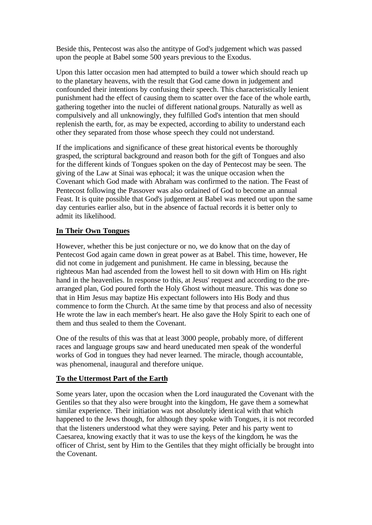Beside this, Pentecost was also the antitype of God's judgement which was passed upon the people at Babel some 500 years previous to the Exodus.

Upon this latter occasion men had attempted to build a tower which should reach up to the planetary heavens, with the result that God came down in judgement and confounded their intentions by confusing their speech. This characteristically lenient punishment had the effect of causing them to scatter over the face of the whole earth, gathering together into the nuclei of different national groups. Naturally as well as compulsively and all unknowingly, they fulfilled God's intention that men should replenish the earth, for, as may be expected, according to ability to understand each other they separated from those whose speech they could not understand.

If the implications and significance of these great historical events be thoroughly grasped, the scriptural background and reason both for the gift of Tongues and also for the different kinds of Tongues spoken on the day of Pentecost may be seen. The giving of the Law at Sinai was ephocal; it was the unique occasion when the Covenant which God made with Abraham was confirmed to the nation. The Feast of Pentecost following the Passover was also ordained of God to become an annual Feast. It is quite possible that God's judgement at Babel was meted out upon the same day centuries earlier also, but in the absence of factual records it is better only to admit its likelihood.

#### **In Their Own Tongues**

However, whether this be just conjecture or no, we do know that on the day of Pentecost God again came down in great power as at Babel. This time, however, He did not come in judgement and punishment. He came in blessing, because the righteous Man had ascended from the lowest hell to sit down with Him on His right hand in the heavenlies. In response to this, at Jesus' request and according to the prearranged plan, God poured forth the Holy Ghost without measure. This was done so that in Him Jesus may baptize His expectant followers into His Body and thus commence to form the Church. At the same time by that process and also of necessity He wrote the law in each member's heart. He also gave the Holy Spirit to each one of them and thus sealed to them the Covenant.

One of the results of this was that at least 3000 people, probably more, of different races and language groups saw and heard uneducated men speak of the wonderful works of God in tongues they had never learned. The miracle, though accountable, was phenomenal, inaugural and therefore unique.

#### **To the Uttermost Part of the Earth**

Some years later, upon the occasion when the Lord inaugurated the Covenant with the Gentiles so that they also were brought into the kingdom, He gave them a somewhat similar experience. Their initiation was not absolutely identical with that which happened to the Jews though, for although they spoke with Tongues, it is not recorded that the listeners understood what they were saying. Peter and his party went to Caesarea, knowing exactly that it was to use the keys of the kingdom, he was the officer of Christ, sent by Him to the Gentiles that they might officially be brought into the Covenant.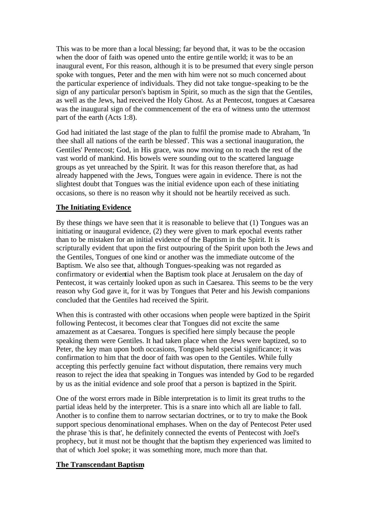This was to be more than a local blessing; far beyond that, it was to be the occasion when the door of faith was opened unto the entire gentile world; it was to be an inaugural event, For this reason, although it is to be presumed that every single person spoke with tongues, Peter and the men with him were not so much concerned about the particular experience of individuals. They did not take tongue-speaking to be the sign of any particular person's baptism in Spirit, so much as the sign that the Gentiles, as well as the Jews, had received the Holy Ghost. As at Pentecost, tongues at Caesarea was the inaugural sign of the commencement of the era of witness unto the uttermost part of the earth (Acts 1:8).

God had initiated the last stage of the plan to fulfil the promise made to Abraham, 'In thee shall all nations of the earth be blessed'. This was a sectional inauguration, the Gentiles' Pentecost; God, in His grace, was now moving on to reach the rest of the vast world of mankind. His bowels were sounding out to the scattered language groups as yet unreached by the Spirit. It was for this reason therefore that, as had already happened with the Jews, Tongues were again in evidence. There is not the slightest doubt that Tongues was the initial evidence upon each of these initiating occasions, so there is no reason why it should not be heartily received as such.

#### **The Initiating Evidence**

By these things we have seen that it is reasonable to believe that (1) Tongues was an initiating or inaugural evidence, (2) they were given to mark epochal events rather than to be mistaken for an initial evidence of the Baptism in the Spirit. It is scripturally evident that upon the first outpouring of the Spirit upon both the Jews and the Gentiles, Tongues of one kind or another was the immediate outcome of the Baptism. We also see that, although Tongues-speaking was not regarded as confirmatory or evidential when the Baptism took place at Jerusalem on the day of Pentecost, it was certainly looked upon as such in Caesarea. This seems to be the very reason why God gave it, for it was by Tongues that Peter and his Jewish companions concluded that the Gentiles had received the Spirit.

When this is contrasted with other occasions when people were baptized in the Spirit following Pentecost, it becomes clear that Tongues did not excite the same amazement as at Caesarea. Tongues is specified here simply because the people speaking them were Gentiles. It had taken place when the Jews were baptized, so to Peter, the key man upon both occasions, Tongues held special significance; it was confirmation to him that the door of faith was open to the Gentiles. While fully accepting this perfectly genuine fact without disputation, there remains very much reason to reject the idea that speaking in Tongues was intended by God to be regarded by us as the initial evidence and sole proof that a person is baptized in the Spirit.

One of the worst errors made in Bible interpretation is to limit its great truths to the partial ideas held by the interpreter. This is a snare into which all are liable to fall. Another is to confine them to narrow sectarian doctrines, or to try to make the Book support specious denominational emphases. When on the day of Pentecost Peter used the phrase 'this is that', he definitely connected the events of Pentecost with Joel's prophecy, but it must not be thought that the baptism they experienced was limited to that of which Joel spoke; it was something more, much more than that.

#### **The Transcendant Baptism**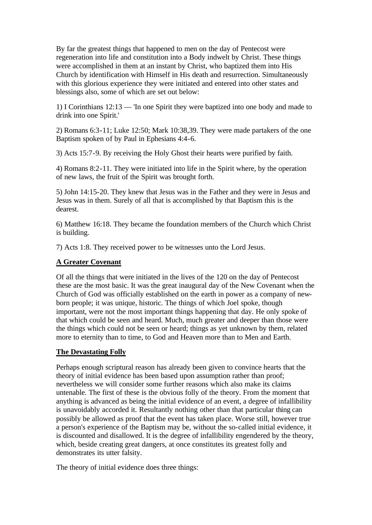By far the greatest things that happened to men on the day of Pentecost were regeneration into life and constitution into a Body indwelt by Christ. These things were accomplished in them at an instant by Christ, who baptized them into His Church by identification with Himself in His death and resurrection. Simultaneously with this glorious experience they were initiated and entered into other states and blessings also, some of which are set out below:

1) I Corinthians 12:13 — 'In one Spirit they were baptized into one body and made to drink into one Spirit.'

2) Romans 6:3-11; Luke 12:50; Mark 10:38,39. They were made partakers of the one Baptism spoken of by Paul in Ephesians 4:4-6.

3) Acts 15:7-9. By receiving the Holy Ghost their hearts were purified by faith.

4) Romans 8:2-11. They were initiated into life in the Spirit where, by the operation of new laws, the fruit of the Spirit was brought forth.

5) John 14:15-20. They knew that Jesus was in the Father and they were in Jesus and Jesus was in them. Surely of all that is accomplished by that Baptism this is the dearest.

6) Matthew 16:18. They became the foundation members of the Church which Christ is building.

7) Acts 1:8. They received power to be witnesses unto the Lord Jesus.

#### **A Greater Covenant**

Of all the things that were initiated in the lives of the 120 on the day of Pentecost these are the most basic. It was the great inaugural day of the New Covenant when the Church of God was officially established on the earth in power as a company of newborn people; it was unique, historic. The things of which Joel spoke, though important, were not the most important things happening that day. He only spoke of that which could be seen and heard. Much, much greater and deeper than those were the things which could not be seen or heard; things as yet unknown by them, related more to eternity than to time, to God and Heaven more than to Men and Earth.

#### **The Devastating Folly**

Perhaps enough scriptural reason has already been given to convince hearts that the theory of initial evidence has been based upon assumption rather than proof; nevertheless we will consider some further reasons which also make its claims untenable. The first of these is the obvious folly of the theory. From the moment that anything is advanced as being the initial evidence of an event, a degree of infallibility is unavoidably accorded it. Resultantly nothing other than that particular thing can possibly be allowed as proof that the event has taken place. Worse still, however true a person's experience of the Baptism may be, without the so-called initial evidence, it is discounted and disallowed. It is the degree of infallibility engendered by the theory, which, beside creating great dangers, at once constitutes its greatest folly and demonstrates its utter falsity.

The theory of initial evidence does three things: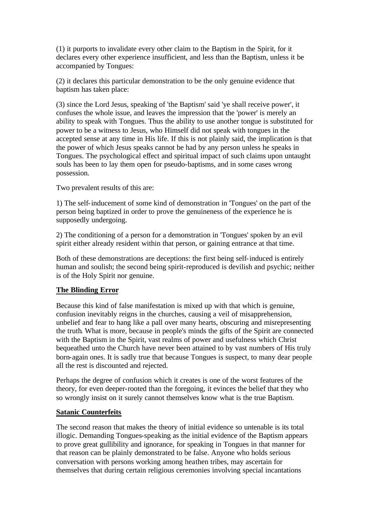(1) it purports to invalidate every other claim to the Baptism in the Spirit, for it declares every other experience insufficient, and less than the Baptism, unless it be accompanied by Tongues:

(2) it declares this particular demonstration to be the only genuine evidence that baptism has taken place:

(3) since the Lord Jesus, speaking of 'the Baptism' said 'ye shall receive power', it confuses the whole issue, and leaves the impression that the 'power' is merely an ability to speak with Tongues. Thus the ability to use another tongue is substituted for power to be a witness to Jesus, who Himself did not speak with tongues in the accepted sense at any time in His life. If this is not plainly said, the implication is that the power of which Jesus speaks cannot be had by any person unless he speaks in Tongues. The psychological effect and spiritual impact of such claims upon untaught souls has been to lay them open for pseudo-baptisms, and in some cases wrong possession.

Two prevalent results of this are:

1) The self-inducement of some kind of demonstration in 'Tongues' on the part of the person being baptized in order to prove the genuineness of the experience he is supposedly undergoing.

2) The conditioning of a person for a demonstration in 'Tongues' spoken by an evil spirit either already resident within that person, or gaining entrance at that time.

Both of these demonstrations are deceptions: the first being self-induced is entirely human and soulish; the second being spirit-reproduced is devilish and psychic; neither is of the Holy Spirit nor genuine.

#### **The Blinding Error**

Because this kind of false manifestation is mixed up with that which is genuine, confusion inevitably reigns in the churches, causing a veil of misapprehension, unbelief and fear to hang like a pall over many hearts, obscuring and misrepresenting the truth. What is more, because in people's minds the gifts of the Spirit are connected with the Baptism in the Spirit, vast realms of power and usefulness which Christ bequeathed unto the Church have never been attained to by vast numbers of His truly born-again ones. It is sadly true that because Tongues is suspect, to many dear people all the rest is discounted and rejected.

Perhaps the degree of confusion which it creates is one of the worst features of the theory, for even deeper-rooted than the foregoing, it evinces the belief that they who so wrongly insist on it surely cannot themselves know what is the true Baptism.

#### **Satanic Counterfeits**

The second reason that makes the theory of initial evidence so untenable is its total illogic. Demanding Tongues-speaking as the initial evidence of the Baptism appears to prove great gullibility and ignorance, for speaking in Tongues in that manner for that reason can be plainly demonstrated to be false. Anyone who holds serious conversation with persons working among heathen tribes, may ascertain for themselves that during certain religious ceremonies involving special incantations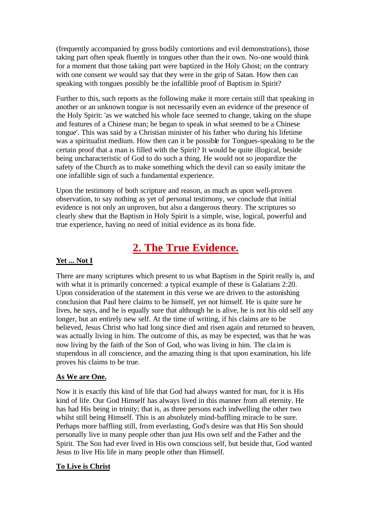(frequently accompanied by gross bodily contortions and evil demonstrations), those taking part often speak fluently in tongues other than the ir own. No-one would think for a moment that those taking part were baptized in the Holy Ghost; on the contrary with one consent we would say that they were in the grip of Satan. How then can speaking with tongues possibly be the infallible proof of Baptism in Spirit?

Further to this, such reports as the following make it more certain still that speaking in another or an unknown tongue is not necessarily even an evidence of the presence of the Holy Spirit: 'as we watched his whole face seemed to change, taking on the shape and features of a Chinese man; he began to speak in what seemed to be a Chinese tongue'. This was said by a Christian minister of his father who during his lifetime was a spiritualist medium. How then can it be possible for Tongues-speaking to be the certain proof that a man is filled with the Spirit? It would be quite illogical, beside being uncharacteristic of God to do such a thing. He would not so jeopardize the safety of the Church as to make something which the devil can so easily imitate the one infallible sign of such a fundamental experience.

Upon the testimony of both scripture and reason, as much as upon well-proven observation, to say nothing as yet of personal testimony, we conclude that initial evidence is not only an unproven, but also a dangerous theory. The scriptures so clearly shew that the Baptism in Holy Spirit is a simple, wise, logical, powerful and true experience, having no need of initial evidence as its bona fide.

# **2. The True Evidence.**

# **Yet ... Not I**

There are many scriptures which present to us what Baptism in the Spirit really is, and with what it is primarily concerned: a typical example of these is Galatians 2:20. Upon consideration of the statement in this verse we are driven to the astonishing conclusion that Paul here claims to be himself, yet not himself. He is quite sure he lives, he says, and he is equally sure that although he is alive, he is not his old self any longer, but an entirely new self. At the time of writing, if his claims are to be believed, Jesus Christ who had long since died and risen again and returned to heaven, was actually living in him. The outcome of this, as may be expected, was that he was now living by the faith of the Son of God, who was living in him. The cla im is stupendous in all conscience, and the amazing thing is that upon examination, his life proves his claims to be true.

#### **As We are One.**

Now it is exactly this kind of life that God had always wanted for man, for it is His kind of life. Our God Himself has always lived in this manner from all eternity. He has had His being in trinity; that is, as three persons each indwelling the other two whilst still being Himself. This is an absolutely mind-baffling miracle to be sure. Perhaps more baffling still, from everlasting, God's desire was that His Son should personally live in many people other than just His own self and the Father and the Spirit. The Son had ever lived in His own conscious self, but beside that, God wanted Jesus to live His life in many people other than Himself.

#### **To Live is Christ**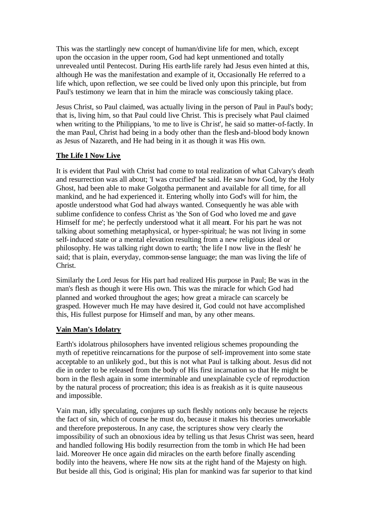This was the startlingly new concept of human/divine life for men, which, except upon the occasion in the upper room, God had kept unmentioned and totally unrevealed until Pentecost. During His earth-life rarely had Jesus even hinted at this, although He was the manifestation and example of it, Occasionally He referred to a life which, upon reflection, we see could be lived only upon this principle, but from Paul's testimony we learn that in him the miracle was consciously taking place.

Jesus Christ, so Paul claimed, was actually living in the person of Paul in Paul's body; that is, living him, so that Paul could live Christ. This is precisely what Paul claimed when writing to the Philippians, 'to me to live is Christ', he said so matter-of-factly. In the man Paul, Christ had being in a body other than the flesh-and-blood body known as Jesus of Nazareth, and He had being in it as though it was His own.

#### **The Life I Now Live**

It is evident that Paul with Christ had come to total realization of what Calvary's death and resurrection was all about; 'I was crucified' he said. He saw how God, by the Holy Ghost, had been able to make Golgotha permanent and available for all time, for all mankind, and he had experienced it. Entering wholly into God's will for him, the apostle understood what God had always wanted. Consequently he was able with sublime confidence to confess Christ as 'the Son of God who loved me and gave Himself for me'; he perfectly understood what it all meant. For his part he was not talking about something metaphysical, or hyper-spiritual; he was not living in some self-induced state or a mental elevation resulting from a new religious ideal or philosophy. He was talking right down to earth; 'the life I now live in the flesh' he said; that is plain, everyday, common-sense language; the man was living the life of Christ.

Similarly the Lord Jesus for His part had realized His purpose in Paul; Be was in the man's flesh as though it were His own. This was the miracle for which God had planned and worked throughout the ages; how great a miracle can scarcely be grasped. However much He may have desired it, God could not have accomplished this, His fullest purpose for Himself and man, by any other means.

#### **Vain Man's Idolatry**

Earth's idolatrous philosophers have invented religious schemes propounding the myth of repetitive reincarnations for the purpose of self-improvement into some state acceptable to an unlikely god., but this is not what Paul is talking about. Jesus did not die in order to be released from the body of His first incarnation so that He might be born in the flesh again in some interminable and unexplainable cycle of reproduction by the natural process of procreation; this idea is as freakish as it is quite nauseous and impossible.

Vain man, idly speculating, conjures up such fleshly notions only because he rejects the fact of sin, which of course he must do, because it makes his theories unworkable and therefore preposterous. In any case, the scriptures show very clearly the impossibility of such an obnoxious idea by telling us that Jesus Christ was seen, heard and handled following His bodily resurrection from the tomb in which He had been laid. Moreover He once again did miracles on the earth before finally ascending bodily into the heavens, where He now sits at the right hand of the Majesty on high. But beside all this, God is original; His plan for mankind was far superior to that kind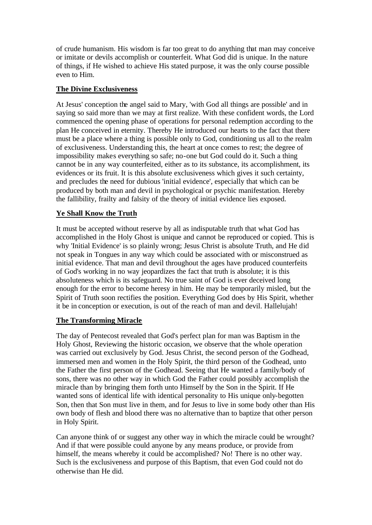of crude humanism. His wisdom is far too great to do anything that man may conceive or imitate or devils accomplish or counterfeit. What God did is unique. In the nature of things, if He wished to achieve His stated purpose, it was the only course possible even to Him.

#### **The Divine Exclusiveness**

At Jesus' conception the angel said to Mary, 'with God all things are possible' and in saying so said more than we may at first realize. With these confident words, the Lord commenced the opening phase of operations for personal redemption according to the plan He conceived in eternity. Thereby He introduced our hearts to the fact that there must be a place where a thing is possible only to God, conditioning us all to the realm of exclusiveness. Understanding this, the heart at once comes to rest; the degree of impossibility makes everything so safe; no-one but God could do it. Such a thing cannot be in any way counterfeited, either as to its substance, its accomplishment, its evidences or its fruit. It is this absolute exclusiveness which gives it such certainty, and precludes the need for dubious 'initial evidence', especially that which can be produced by both man and devil in psychological or psychic manifestation. Hereby the fallibility, frailty and falsity of the theory of initial evidence lies exposed.

# **Ye Shall Know the Truth**

It must be accepted without reserve by all as indisputable truth that what God has accomplished in the Holy Ghost is unique and cannot be reproduced or copied. This is why 'Initial Evidence' is so plainly wrong; Jesus Christ is absolute Truth, and He did not speak in Tongues in any way which could be associated with or misconstrued as initial evidence. That man and devil throughout the ages have produced counterfeits of God's working in no way jeopardizes the fact that truth is absolute; it is this absoluteness which is its safeguard. No true saint of God is ever deceived long enough for the error to become heresy in him. He may be temporarily misled, but the Spirit of Truth soon rectifies the position. Everything God does by His Spirit, whether it be in conception or execution, is out of the reach of man and devil. Hallelujah!

#### **The Transforming Miracle**

The day of Pentecost revealed that God's perfect plan for man was Baptism in the Holy Ghost, Reviewing the historic occasion, we observe that the whole operation was carried out exclusively by God. Jesus Christ, the second person of the Godhead, immersed men and women in the Holy Spirit, the third person of the Godhead, unto the Father the first person of the Godhead. Seeing that He wanted a family/body of sons, there was no other way in which God the Father could possibly accomplish the miracle than by bringing them forth unto Himself by the Son in the Spirit. If He wanted sons of identical life with identical personality to His unique only-begotten Son, then that Son must live in them, and for Jesus to live in some body other than His own body of flesh and blood there was no alternative than to baptize that other person in Holy Spirit.

Can anyone think of or suggest any other way in which the miracle could be wrought? And if that were possible could anyone by any means produce, or provide from himself, the means whereby it could be accomplished? No! There is no other way. Such is the exclusiveness and purpose of this Baptism, that even God could not do otherwise than He did.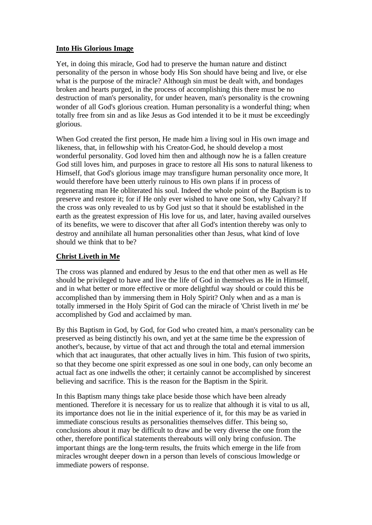#### **Into His Glorious Image**

Yet, in doing this miracle, God had to preserve the human nature and distinct personality of the person in whose body His Son should have being and live, or else what is the purpose of the miracle? Although sin must be dealt with, and bondages broken and hearts purged, in the process of accomplishing this there must be no destruction of man's personality, for under heaven, man's personality is the crowning wonder of all God's glorious creation. Human personality is a wonderful thing; when totally free from sin and as like Jesus as God intended it to be it must be exceedingly glorious.

When God created the first person, He made him a living soul in His own image and likeness, that, in fellowship with his Creator-God, he should develop a most wonderful personality. God loved him then and although now he is a fallen creature God still loves him, and purposes in grace to restore all His sons to natural likeness to Himself, that God's glorious image may transfigure human personality once more, It would therefore have been utterly ruinous to His own plans if in process of regenerating man He obliterated his soul. Indeed the whole point of the Baptism is to preserve and restore it; for if He only ever wished to have one Son, why Calvary? If the cross was only revealed to us by God just so that it should be established in the earth as the greatest expression of His love for us, and later, having availed ourselves of its benefits, we were to discover that after all God's intention thereby was only to destroy and annihilate all human personalities other than Jesus, what kind of love should we think that to be?

#### **Christ Liveth in Me**

The cross was planned and endured by Jesus to the end that other men as well as He should be privileged to have and live the life of God in themselves as He in Himself, and in what better or more effective or more delightful way should or could this be accomplished than by immersing them in Holy Spirit? Only when and as a man is totally immersed in the Holy Spirit of God can the miracle of 'Christ liveth in me' be accomplished by God and acclaimed by man.

By this Baptism in God, by God, for God who created him, a man's personality can be preserved as being distinctly his own, and yet at the same time be the expression of another's, because, by virtue of that act and through the total and eternal immersion which that act inaugurates, that other actually lives in him. This fusion of two spirits, so that they become one spirit expressed as one soul in one body, can only become an actual fact as one indwells the other; it certainly cannot be accomplished by sincerest believing and sacrifice. This is the reason for the Baptism in the Spirit.

In this Baptism many things take place beside those which have been already mentioned. Therefore it is necessary for us to realize that although it is vital to us all, its importance does not lie in the initial experience of it, for this may be as varied in immediate conscious results as personalities themselves differ. This being so, conclusions about it may be difficult to draw and be very diverse the one from the other, therefore pontifical statements thereabouts will only bring confusion. The important things are the long-term results, the fruits which emerge in the life from miracles wrought deeper down in a person than levels of conscious lmowledge or immediate powers of response.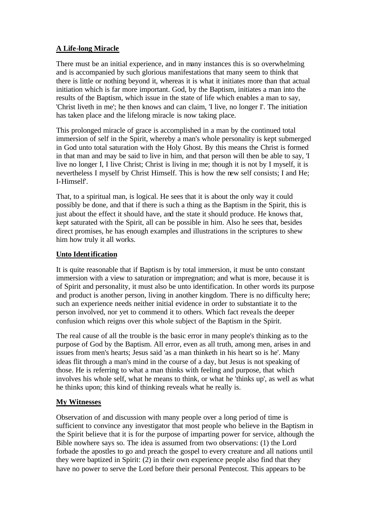#### **A Life-long Miracle**

There must be an initial experience, and in many instances this is so overwhelming and is accompanied by such glorious manifestations that many seem to think that there is little or nothing beyond it, whereas it is what it initiates more than that actual initiation which is far more important. God, by the Baptism, initiates a man into the results of the Baptism, which issue in the state of life which enables a man to say, 'Christ liveth in me'; he then knows and can claim, 'I live, no longer I'. The initiation has taken place and the lifelong miracle is now taking place.

This prolonged miracle of grace is accomplished in a man by the continued total immersion of self in the Spirit, whereby a man's whole personality is kept submerged in God unto total saturation with the Holy Ghost. By this means the Christ is formed in that man and may be said to live in him, and that person will then be able to say, 'I live no longer I, I live Christ; Christ is living in me; though it is not by I myself, it is nevertheless I myself by Christ Himself. This is how the new self consists; I and He; I-Himself'.

That, to a spiritual man, is logical. He sees that it is about the only way it could possibly be done, and that if there is such a thing as the Baptism in the Spirit, this is just about the effect it should have, and the state it should produce. He knows that, kept saturated with the Spirit, all can be possible in him. Also he sees that, besides direct promises, he has enough examples and illustrations in the scriptures to shew him how truly it all works.

#### **Unto Identification**

It is quite reasonable that if Baptism is by total immersion, it must be unto constant immersion with a view to saturation or impregnation; and what is more, because it is of Spirit and personality, it must also be unto identification. In other words its purpose and product is another person, living in another kingdom. There is no difficulty here; such an experience needs neither initial evidence in order to substantiate it to the person involved, nor yet to commend it to others. Which fact reveals the deeper confusion which reigns over this whole subject of the Baptism in the Spirit.

The real cause of all the trouble is the basic error in many people's thinking as to the purpose of God by the Baptism. All error, even as all truth, among men, arises in and issues from men's hearts; Jesus said 'as a man thinketh in his heart so is he'. Many ideas flit through a man's mind in the course of a day, but Jesus is not speaking of those. He is referring to what a man thinks with feeling and purpose, that which involves his whole self, what he means to think, or what he 'thinks up', as well as what he thinks upon; this kind of thinking reveals what he really is.

# **My Witnesses**

Observation of and discussion with many people over a long period of time is sufficient to convince any investigator that most people who believe in the Baptism in the Spirit believe that it is for the purpose of imparting power for service, although the Bible nowhere says so. The idea is assumed from two observations: (1) the Lord forbade the apostles to go and preach the gospel to every creature and all nations until they were baptized in Spirit: (2) in their own experience people also find that they have no power to serve the Lord before their personal Pentecost. This appears to be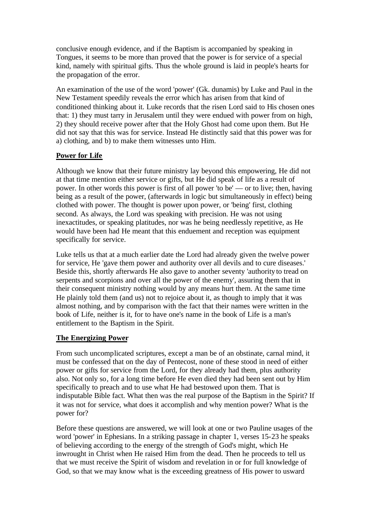conclusive enough evidence, and if the Baptism is accompanied by speaking in Tongues, it seems to be more than proved that the power is for service of a special kind, namely with spiritual gifts. Thus the whole ground is laid in people's hearts for the propagation of the error.

An examination of the use of the word 'power' (Gk. dunamis) by Luke and Paul in the New Testament speedily reveals the error which has arisen from that kind of conditioned thinking about it. Luke records that the risen Lord said to His chosen ones that: 1) they must tarry in Jerusalem until they were endued with power from on high, 2) they should receive power after that the Holy Ghost had come upon them. But He did not say that this was for service. Instead He distinctly said that this power was for a) clothing, and b) to make them witnesses unto Him.

#### **Power for Life**

Although we know that their future ministry lay beyond this empowering, He did not at that time mention either service or gifts, but He did speak of life as a result of power. In other words this power is first of all power 'to be' — or to live; then, having being as a result of the power, (afterwards in logic but simultaneously in effect) being clothed with power. The thought is power upon power, or 'being' first, clothing second. As always, the Lord was speaking with precision. He was not using inexactitudes, or speaking platitudes, nor was he being needlessly repetitive, as He would have been had He meant that this enduement and reception was equipment specifically for service.

Luke tells us that at a much earlier date the Lord had already given the twelve power for service, He 'gave them power and authority over all devils and to cure diseases.' Beside this, shortly afterwards He also gave to another seventy 'authority to tread on serpents and scorpions and over all the power of the enemy', assuring them that in their consequent ministry nothing would by any means hurt them. At the same time He plainly told them (and us) not to rejoice about it, as though to imply that it was almost nothing, and by comparison with the fact that their names were written in the book of Life, neither is it, for to have one's name in the book of Life is a man's entitlement to the Baptism in the Spirit.

# **The Energizing Power**

From such uncomplicated scriptures, except a man be of an obstinate, carnal mind, it must be confessed that on the day of Pentecost, none of these stood in need of either power or gifts for service from the Lord, for they already had them, plus authority also. Not only so, for a long time before He even died they had been sent out by Him specifically to preach and to use what He had bestowed upon them. That is indisputable Bible fact. What then was the real purpose of the Baptism in the Spirit? If it was not for service, what does it accomplish and why mention power? What is the power for?

Before these questions are answered, we will look at one or two Pauline usages of the word 'power' in Ephesians. In a striking passage in chapter 1, verses 15-23 he speaks of believing according to the energy of the strength of God's might, which He inwrought in Christ when He raised Him from the dead. Then he proceeds to tell us that we must receive the Spirit of wisdom and revelation in or for full knowledge of God, so that we may know what is the exceeding greatness of His power to usward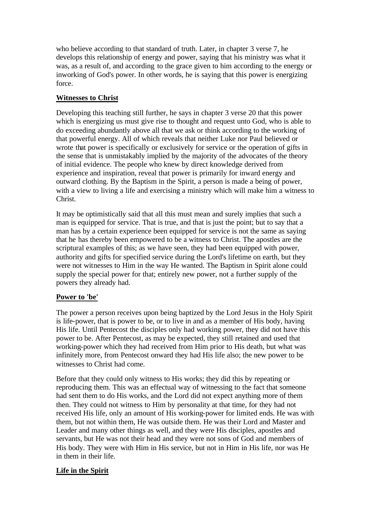who believe according to that standard of truth. Later, in chapter 3 verse 7, he develops this relationship of energy and power, saying that his ministry was what it was, as a result of, and according to the grace given to him according to the energy or inworking of God's power. In other words, he is saying that this power is energizing force.

# **Witnesses to Christ**

Developing this teaching still further, he says in chapter 3 verse 20 that this power which is energizing us must give rise to thought and request unto God, who is able to do exceeding abundantly above all that we ask or think according to the working of that powerful energy. All of which reveals that neither Luke nor Paul believed or wrote that power is specifically or exclusively for service or the operation of gifts in the sense that is unmistakably implied by the majority of the advocates of the theory of initial evidence. The people who knew by direct knowledge derived from experience and inspiration, reveal that power is primarily for inward energy and outward clothing. By the Baptism in the Spirit, a person is made a being of power, with a view to living a life and exercising a ministry which will make him a witness to Christ.

It may be optimistically said that all this must mean and surely implies that such a man is equipped for service. That is true, and that is just the point; but to say that a man has by a certain experience been equipped for service is not the same as saying that he has thereby been empowered to be a witness to Christ. The apostles are the scriptural examples of this; as we have seen, they had been equipped with power, authority and gifts for specified service during the Lord's lifetime on earth, but they were not witnesses to Him in the way He wanted. The Baptism in Spirit alone could supply the special power for that; entirely new power, not a further supply of the powers they already had.

#### **Power to 'be'**

The power a person receives upon being baptized by the Lord Jesus in the Holy Spirit is life-power, that is power to be, or to live in and as a member of His body, having His life. Until Pentecost the disciples only had working power, they did not have this power to be. After Pentecost, as may be expected, they still retained and used that working-power which they had received from Him prior to His death, but what was infinitely more, from Pentecost onward they had His life also; the new power to be witnesses to Christ had come.

Before that they could only witness to His works; they did this by repeating or reproducing them. This was an effectual way of witnessing to the fact that someone had sent them to do His works, and the Lord did not expect anything more of them then. They could not witness to Him by personality at that time, for they had not received His life, only an amount of His working-power for limited ends. He was with them, but not within them, He was outside them. He was their Lord and Master and Leader and many other things as well, and they were His disciples, apostles and servants, but He was not their head and they were not sons of God and members of His body. They were with Him in His service, but not in Him in His life, nor was He in them in their life.

#### **Life in the Spirit**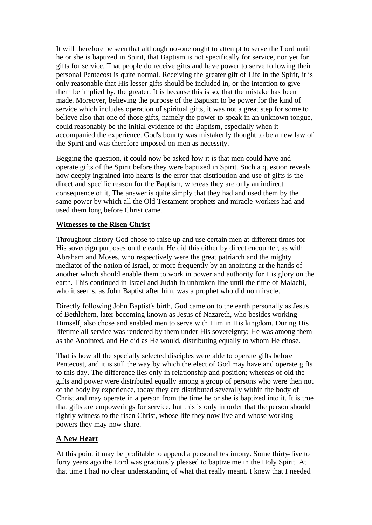It will therefore be seen that although no-one ought to attempt to serve the Lord until he or she is baptized in Spirit, that Baptism is not specifically for service, nor yet for gifts for service. That people do receive gifts and have power to serve following their personal Pentecost is quite normal. Receiving the greater gift of Life in the Spirit, it is only reasonable that His lesser gifts should be included in, or the intention to give them be implied by, the greater. It is because this is so, that the mistake has been made. Moreover, believing the purpose of the Baptism to be power for the kind of service which includes operation of spiritual gifts, it was not a great step for some to believe also that one of those gifts, namely the power to speak in an unknown tongue, could reasonably be the initial evidence of the Baptism, especially when it accompanied the experience. God's bounty was mistakenly thought to be a new law of the Spirit and was therefore imposed on men as necessity.

Begging the question, it could now be asked how it is that men could have and operate gifts of the Spirit before they were baptized in Spirit. Such a question reveals how deeply ingrained into hearts is the error that distribution and use of gifts is the direct and specific reason for the Baptism, whereas they are only an indirect consequence of it, The answer is quite simply that they had and used them by the same power by which all the Old Testament prophets and miracle-workers had and used them long before Christ came.

#### **Witnesses to the Risen Christ**

Throughout history God chose to raise up and use certain men at different times for His sovereign purposes on the earth. He did this either by direct encounter, as with Abraham and Moses, who respectively were the great patriarch and the mighty mediator of the nation of Israel, or more frequently by an anointing at the hands of another which should enable them to work in power and authority for His glory on the earth. This continued in Israel and Judah in unbroken line until the time of Malachi, who it seems, as John Baptist after him, was a prophet who did no miracle.

Directly following John Baptist's birth, God came on to the earth personally as Jesus of Bethlehem, later becoming known as Jesus of Nazareth, who besides working Himself, also chose and enabled men to serve with Him in His kingdom. During His lifetime all service was rendered by them under His sovereignty; He was among them as the Anointed, and He did as He would, distributing equally to whom He chose.

That is how all the specially selected disciples were able to operate gifts before Pentecost, and it is still the way by which the elect of God may have and operate gifts to this day. The difference lies only in relationship and position; whereas of old the gifts and power were distributed equally among a group of persons who were then not of the body by experience, today they are distributed severally within the body of Christ and may operate in a person from the time he or she is baptized into it. It is true that gifts are empowerings for service, but this is only in order that the person should rightly witness to the risen Christ, whose life they now live and whose working powers they may now share.

#### **A New Heart**

At this point it may be profitable to append a personal testimony. Some thirty-five to forty years ago the Lord was graciously pleased to baptize me in the Holy Spirit. At that time I had no clear understanding of what that really meant. I knew that I needed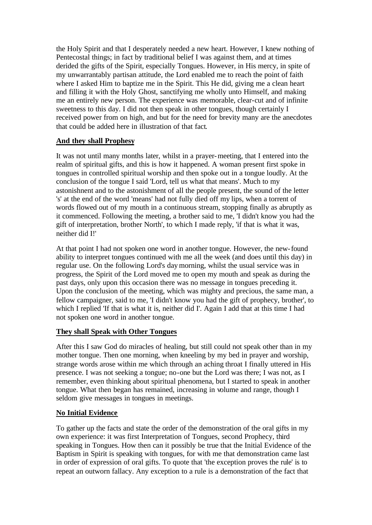the Holy Spirit and that I desperately needed a new heart. However, I knew nothing of Pentecostal things; in fact by traditional belief I was against them, and at times derided the gifts of the Spirit, especially Tongues. However, in His mercy, in spite of my unwarrantably partisan attitude, the Lord enabled me to reach the point of faith where I asked Him to baptize me in the Spirit. This He did, giving me a clean heart and filling it with the Holy Ghost, sanctifying me wholly unto Himself, and making me an entirely new person. The experience was memorable, clear-cut and of infinite sweetness to this day. I did not then speak in other tongues, though certainly I received power from on high, and but for the need for brevity many are the anecdotes that could be added here in illustration of that fact.

# **And they shall Prophesy**

It was not until many months later, whilst in a prayer-meeting, that I entered into the realm of spiritual gifts, and this is how it happened. A woman present first spoke in tongues in controlled spiritual worship and then spoke out in a tongue loudly. At the conclusion of the tongue I said 'Lord, tell us what that means'. Much to my astonishnent and to the astonishment of all the people present, the sound of the letter 's' at the end of the word 'means' had not fully died off my lips, when a torrent of words flowed out of my mouth in a continuous stream, stopping finally as abruptly as it commenced. Following the meeting, a brother said to me, 'I didn't know you had the gift of interpretation, brother North', to which I made reply, 'if that is what it was, neither did I!'

At that point I had not spoken one word in another tongue. However, the new-found ability to interpret tongues continued with me all the week (and does until this day) in regular use. On the following Lord's day morning, whilst the usual service was in progress, the Spirit of the Lord moved me to open my mouth and speak as during the past days, only upon this occasion there was no message in tongues preceding it. Upon the conclusion of the meeting, which was mighty and precious, the same man, a fellow campaigner, said to me, 'I didn't know you had the gift of prophecy, brother', to which I replied 'If that is what it is, neither did I'. Again I add that at this time I had not spoken one word in another tongue.

#### **They shall Speak with Other Tongues**

After this I saw God do miracles of healing, but still could not speak other than in my mother tongue. Then one morning, when kneeling by my bed in prayer and worship, strange words arose within me which through an aching throat I finally uttered in His presence. I was not seeking a tongue; no-one but the Lord was there; I was not, as I remember, even thinking about spiritual phenomena, but I started to speak in another tongue. What then began has remained, increasing in volume and range, though I seldom give messages in tongues in meetings.

# **No Initial Evidence**

To gather up the facts and state the order of the demonstration of the oral gifts in my own experience: it was first Interpretation of Tongues, second Prophecy, third speaking in Tongues. How then can it possibly be true that the Initial Evidence of the Baptism in Spirit is speaking with tongues, for with me that demonstration came last in order of expression of oral gifts. To quote that 'the exception proves the rule' is to repeat an outworn fallacy. Any exception to a rule is a demonstration of the fact that